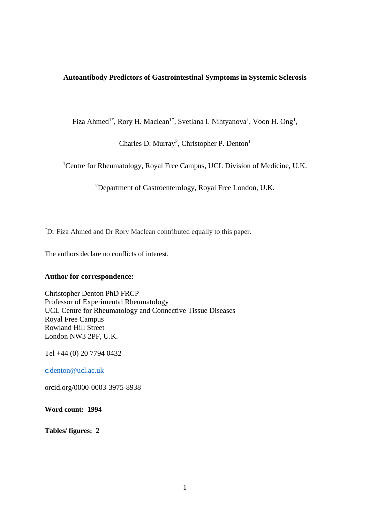# **Autoantibody Predictors of Gastrointestinal Symptoms in Systemic Sclerosis**

Fiza Ahmed<sup>1\*</sup>, Rory H. Maclean<sup>1\*</sup>, Svetlana I. Nihtyanova<sup>1</sup>, Voon H. Ong<sup>1</sup>,

Charles D. Murray<sup>2</sup>, Christopher P. Denton<sup>1</sup>

<sup>1</sup>Centre for Rheumatology, Royal Free Campus, UCL Division of Medicine, U.K.

<sup>2</sup>Department of Gastroenterology, Royal Free London, U.K.

\*Dr Fiza Ahmed and Dr Rory Maclean contributed equally to this paper.

The authors declare no conflicts of interest.

# **Author for correspondence:**

Christopher Denton PhD FRCP Professor of Experimental Rheumatology UCL Centre for Rheumatology and Connective Tissue Diseases Royal Free Campus Rowland Hill Street London NW3 2PF, U.K.

Tel +44 (0) 20 7794 0432

[c.denton@ucl.ac.uk](mailto:c.denton@ucl.ac.uk)

orcid.org/0000-0003-3975-8938

**Word count: 1994**

**Tables/ figures: 2**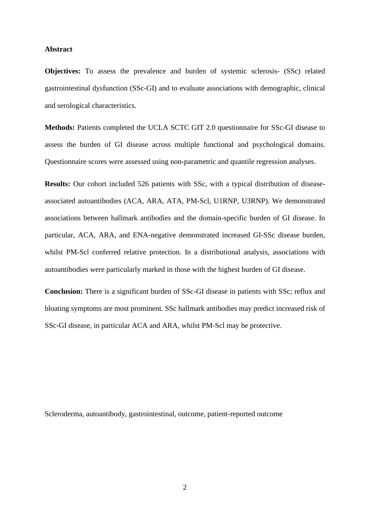### **Abstract**

**Objectives:** To assess the prevalence and burden of systemic sclerosis- (SSc) related gastrointestinal dysfunction (SSc-GI) and to evaluate associations with demographic, clinical and serological characteristics.

**Methods:** Patients completed the UCLA SCTC GIT 2.0 questionnaire for SSc-GI disease to assess the burden of GI disease across multiple functional and psychological domains. Questionnaire scores were assessed using non-parametric and quantile regression analyses.

**Results:** Our cohort included 526 patients with SSc, with a typical distribution of diseaseassociated autoantibodies (ACA, ARA, ATA, PM-Scl, U1RNP, U3RNP). We demonstrated associations between hallmark antibodies and the domain-specific burden of GI disease. In particular, ACA, ARA, and ENA-negative demonstrated increased GI-SSc disease burden, whilst PM-Scl conferred relative protection. In a distributional analysis, associations with autoantibodies were particularly marked in those with the highest burden of GI disease.

**Conclusion:** There is a significant burden of SSc-GI disease in patients with SSc; reflux and bloating symptoms are most prominent. SSc hallmark antibodies may predict increased risk of SSc-GI disease, in particular ACA and ARA, whilst PM-Scl may be protective.

Scleroderma, autoantibody, gastrointestinal, outcome, patient-reported outcome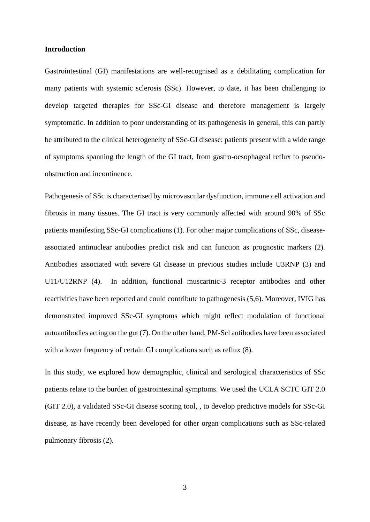### **Introduction**

Gastrointestinal (GI) manifestations are well-recognised as a debilitating complication for many patients with systemic sclerosis (SSc). However, to date, it has been challenging to develop targeted therapies for SSc-GI disease and therefore management is largely symptomatic. In addition to poor understanding of its pathogenesis in general, this can partly be attributed to the clinical heterogeneity of SSc-GI disease: patients present with a wide range of symptoms spanning the length of the GI tract, from gastro-oesophageal reflux to pseudoobstruction and incontinence.

Pathogenesis of SSc is characterised by microvascular dysfunction, immune cell activation and fibrosis in many tissues. The GI tract is very commonly affected with around 90% of SSc patients manifesting SSc-GI complications (1). For other major complications of SSc, diseaseassociated antinuclear antibodies predict risk and can function as prognostic markers (2). Antibodies associated with severe GI disease in previous studies include U3RNP (3) and U11/U12RNP (4). In addition, functional muscarinic-3 receptor antibodies and other reactivities have been reported and could contribute to pathogenesis (5,6). Moreover, IVIG has demonstrated improved SSc-GI symptoms which might reflect modulation of functional autoantibodies acting on the gut (7). On the other hand, PM-Scl antibodies have been associated with a lower frequency of certain GI complications such as reflux (8).

In this study, we explored how demographic, clinical and serological characteristics of SSc patients relate to the burden of gastrointestinal symptoms. We used the UCLA SCTC GIT 2.0 (GIT 2.0), a validated SSc-GI disease scoring tool, , to develop predictive models for SSc-GI disease, as have recently been developed for other organ complications such as SSc-related pulmonary fibrosis (2).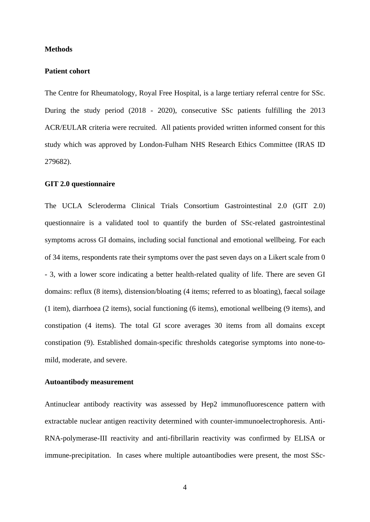#### **Methods**

# **Patient cohort**

The Centre for Rheumatology, Royal Free Hospital, is a large tertiary referral centre for SSc. During the study period (2018 - 2020), consecutive SSc patients fulfilling the 2013 ACR/EULAR criteria were recruited. All patients provided written informed consent for this study which was approved by London-Fulham NHS Research Ethics Committee (IRAS ID 279682).

### **GIT 2.0 questionnaire**

The UCLA Scleroderma Clinical Trials Consortium Gastrointestinal 2.0 (GIT 2.0) questionnaire is a validated tool to quantify the burden of SSc-related gastrointestinal symptoms across GI domains, including social functional and emotional wellbeing. For each of 34 items, respondents rate their symptoms over the past seven days on a Likert scale from 0 - 3, with a lower score indicating a better health-related quality of life. There are seven GI domains: reflux (8 items), distension/bloating (4 items; referred to as bloating), faecal soilage (1 item), diarrhoea (2 items), social functioning (6 items), emotional wellbeing (9 items), and constipation (4 items). The total GI score averages 30 items from all domains except constipation (9). Established domain-specific thresholds categorise symptoms into none-tomild, moderate, and severe.

# **Autoantibody measurement**

Antinuclear antibody reactivity was assessed by Hep2 immunofluorescence pattern with extractable nuclear antigen reactivity determined with counter-immunoelectrophoresis. Anti-RNA-polymerase-III reactivity and anti-fibrillarin reactivity was confirmed by ELISA or immune-precipitation. In cases where multiple autoantibodies were present, the most SSc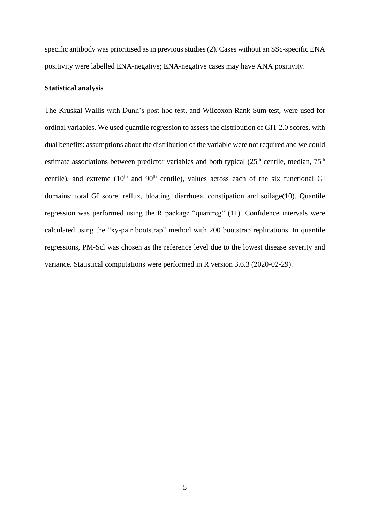specific antibody was prioritised as in previous studies (2). Cases without an SSc-specific ENA positivity were labelled ENA-negative; ENA-negative cases may have ANA positivity.

# **Statistical analysis**

The Kruskal-Wallis with Dunn's post hoc test, and Wilcoxon Rank Sum test, were used for ordinal variables. We used quantile regression to assess the distribution of GIT 2.0 scores, with dual benefits: assumptions about the distribution of the variable were not required and we could estimate associations between predictor variables and both typical  $(25<sup>th</sup>$  centile, median,  $75<sup>th</sup>$ centile), and extreme  $(10<sup>th</sup>$  and  $90<sup>th</sup>$  centile), values across each of the six functional GI domains: total GI score, reflux, bloating, diarrhoea, constipation and soilage(10). Quantile regression was performed using the R package "quantreg" (11). Confidence intervals were calculated using the "xy-pair bootstrap" method with 200 bootstrap replications. In quantile regressions, PM-Scl was chosen as the reference level due to the lowest disease severity and variance. Statistical computations were performed in R version 3.6.3 (2020-02-29).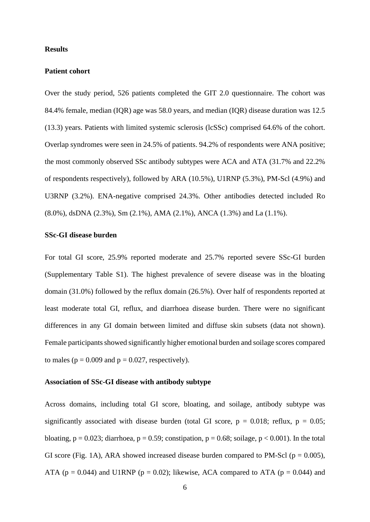### **Results**

# **Patient cohort**

Over the study period, 526 patients completed the GIT 2.0 questionnaire. The cohort was 84.4% female, median (IQR) age was 58.0 years, and median (IQR) disease duration was 12.5 (13.3) years. Patients with limited systemic sclerosis (lcSSc) comprised 64.6% of the cohort. Overlap syndromes were seen in 24.5% of patients. 94.2% of respondents were ANA positive; the most commonly observed SSc antibody subtypes were ACA and ATA (31.7% and 22.2% of respondents respectively), followed by ARA (10.5%), U1RNP (5.3%), PM-Scl (4.9%) and U3RNP (3.2%). ENA-negative comprised 24.3%. Other antibodies detected included Ro (8.0%), dsDNA (2.3%), Sm (2.1%), AMA (2.1%), ANCA (1.3%) and La (1.1%).

### **SSc-GI disease burden**

For total GI score, 25.9% reported moderate and 25.7% reported severe SSc-GI burden (Supplementary Table S1). The highest prevalence of severe disease was in the bloating domain (31.0%) followed by the reflux domain (26.5%). Over half of respondents reported at least moderate total GI, reflux, and diarrhoea disease burden. There were no significant differences in any GI domain between limited and diffuse skin subsets (data not shown). Female participants showed significantly higher emotional burden and soilage scores compared to males ( $p = 0.009$  and  $p = 0.027$ , respectively).

### **Association of SSc-GI disease with antibody subtype**

Across domains, including total GI score, bloating, and soilage, antibody subtype was significantly associated with disease burden (total GI score,  $p = 0.018$ ; reflux,  $p = 0.05$ ; bloating,  $p = 0.023$ ; diarrhoea,  $p = 0.59$ ; constipation,  $p = 0.68$ ; soilage,  $p < 0.001$ ). In the total GI score (Fig. 1A), ARA showed increased disease burden compared to PM-Scl ( $p = 0.005$ ), ATA ( $p = 0.044$ ) and U1RNP ( $p = 0.02$ ); likewise, ACA compared to ATA ( $p = 0.044$ ) and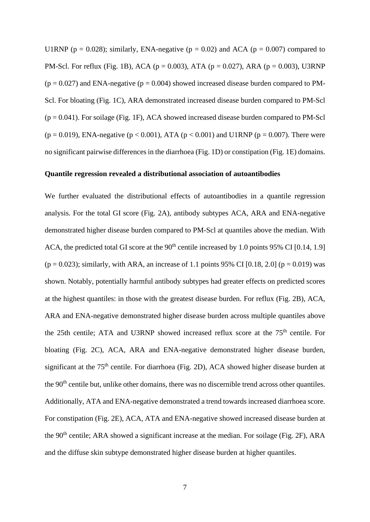U1RNP ( $p = 0.028$ ); similarly, ENA-negative ( $p = 0.02$ ) and ACA ( $p = 0.007$ ) compared to PM-Scl. For reflux (Fig. 1B), ACA ( $p = 0.003$ ), ATA ( $p = 0.027$ ), ARA ( $p = 0.003$ ), U3RNP  $(p = 0.027)$  and ENA-negative  $(p = 0.004)$  showed increased disease burden compared to PM-Scl. For bloating (Fig. 1C), ARA demonstrated increased disease burden compared to PM-Scl  $(p = 0.041)$ . For soilage (Fig. 1F), ACA showed increased disease burden compared to PM-Scl (p = 0.019), ENA-negative (p < 0.001), ATA (p < 0.001) and U1RNP (p = 0.007). There were no significant pairwise differences in the diarrhoea (Fig. 1D) or constipation (Fig. 1E) domains.

# **Quantile regression revealed a distributional association of autoantibodies**

We further evaluated the distributional effects of autoantibodies in a quantile regression analysis. For the total GI score (Fig. 2A), antibody subtypes ACA, ARA and ENA-negative demonstrated higher disease burden compared to PM-Scl at quantiles above the median. With ACA, the predicted total GI score at the  $90<sup>th</sup>$  centile increased by 1.0 points 95% CI [0.14, 1.9]  $(p = 0.023)$ ; similarly, with ARA, an increase of 1.1 points 95% CI [0.18, 2.0] ( $p = 0.019$ ) was shown. Notably, potentially harmful antibody subtypes had greater effects on predicted scores at the highest quantiles: in those with the greatest disease burden. For reflux (Fig. 2B), ACA, ARA and ENA-negative demonstrated higher disease burden across multiple quantiles above the 25th centile; ATA and U3RNP showed increased reflux score at the  $75<sup>th</sup>$  centile. For bloating (Fig. 2C), ACA, ARA and ENA-negative demonstrated higher disease burden, significant at the 75<sup>th</sup> centile. For diarrhoea (Fig. 2D), ACA showed higher disease burden at the 90<sup>th</sup> centile but, unlike other domains, there was no discernible trend across other quantiles. Additionally, ATA and ENA-negative demonstrated a trend towards increased diarrhoea score. For constipation (Fig. 2E), ACA, ATA and ENA-negative showed increased disease burden at the  $90<sup>th</sup>$  centile; ARA showed a significant increase at the median. For soilage (Fig. 2F), ARA and the diffuse skin subtype demonstrated higher disease burden at higher quantiles.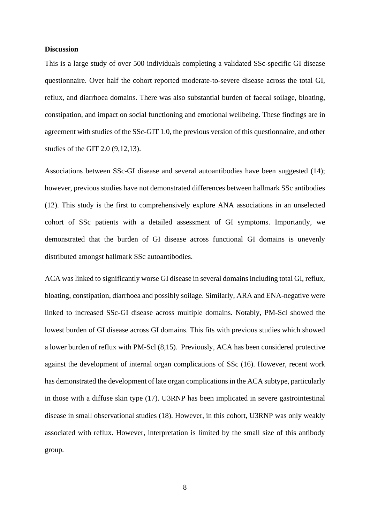#### **Discussion**

This is a large study of over 500 individuals completing a validated SSc-specific GI disease questionnaire. Over half the cohort reported moderate-to-severe disease across the total GI, reflux, and diarrhoea domains. There was also substantial burden of faecal soilage, bloating, constipation, and impact on social functioning and emotional wellbeing. These findings are in agreement with studies of the SSc-GIT 1.0, the previous version of this questionnaire, and other studies of the GIT 2.0 (9,12,13).

Associations between SSc-GI disease and several autoantibodies have been suggested (14); however, previous studies have not demonstrated differences between hallmark SSc antibodies (12). This study is the first to comprehensively explore ANA associations in an unselected cohort of SSc patients with a detailed assessment of GI symptoms. Importantly, we demonstrated that the burden of GI disease across functional GI domains is unevenly distributed amongst hallmark SSc autoantibodies.

ACA was linked to significantly worse GI disease in several domains including total GI, reflux, bloating, constipation, diarrhoea and possibly soilage. Similarly, ARA and ENA-negative were linked to increased SSc-GI disease across multiple domains. Notably, PM-Scl showed the lowest burden of GI disease across GI domains. This fits with previous studies which showed a lower burden of reflux with PM-Scl (8,15). Previously, ACA has been considered protective against the development of internal organ complications of SSc (16). However, recent work has demonstrated the development of late organ complications in the ACA subtype, particularly in those with a diffuse skin type (17). U3RNP has been implicated in severe gastrointestinal disease in small observational studies (18). However, in this cohort, U3RNP was only weakly associated with reflux. However, interpretation is limited by the small size of this antibody group.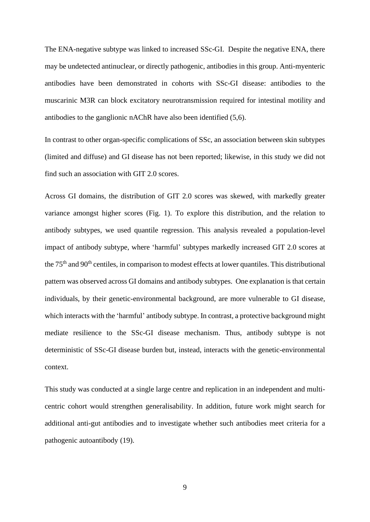The ENA-negative subtype was linked to increased SSc-GI. Despite the negative ENA, there may be undetected antinuclear, or directly pathogenic, antibodies in this group. Anti-myenteric antibodies have been demonstrated in cohorts with SSc-GI disease: antibodies to the muscarinic M3R can block excitatory neurotransmission required for intestinal motility and antibodies to the ganglionic nAChR have also been identified (5,6).

In contrast to other organ-specific complications of SSc, an association between skin subtypes (limited and diffuse) and GI disease has not been reported; likewise, in this study we did not find such an association with GIT 2.0 scores.

Across GI domains, the distribution of GIT 2.0 scores was skewed, with markedly greater variance amongst higher scores (Fig. 1). To explore this distribution, and the relation to antibody subtypes, we used quantile regression. This analysis revealed a population-level impact of antibody subtype, where 'harmful' subtypes markedly increased GIT 2.0 scores at the 75<sup>th</sup> and 90<sup>th</sup> centiles, in comparison to modest effects at lower quantiles. This distributional pattern was observed across GI domains and antibody subtypes. One explanation is that certain individuals, by their genetic-environmental background, are more vulnerable to GI disease, which interacts with the 'harmful' antibody subtype. In contrast, a protective background might mediate resilience to the SSc-GI disease mechanism. Thus, antibody subtype is not deterministic of SSc-GI disease burden but, instead, interacts with the genetic-environmental context.

This study was conducted at a single large centre and replication in an independent and multicentric cohort would strengthen generalisability. In addition, future work might search for additional anti-gut antibodies and to investigate whether such antibodies meet criteria for a pathogenic autoantibody (19).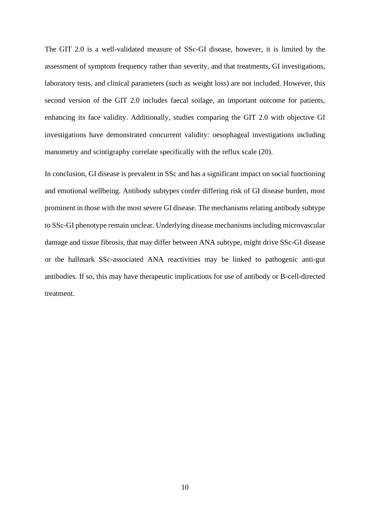The GIT 2.0 is a well-validated measure of SSc-GI disease, however, it is limited by the assessment of symptom frequency rather than severity, and that treatments, GI investigations, laboratory tests, and clinical parameters (such as weight loss) are not included. However, this second version of the GIT 2.0 includes faecal soilage, an important outcome for patients, enhancing its face validity. Additionally, studies comparing the GIT 2.0 with objective GI investigations have demonstrated concurrent validity: oesophageal investigations including manometry and scintigraphy correlate specifically with the reflux scale (20).

In conclusion, GI disease is prevalent in SSc and has a significant impact on social functioning and emotional wellbeing. Antibody subtypes confer differing risk of GI disease burden, most prominent in those with the most severe GI disease. The mechanisms relating antibody subtype to SSc-GI phenotype remain unclear. Underlying disease mechanisms including microvascular damage and tissue fibrosis, that may differ between ANA subtype, might drive SSc-GI disease or the hallmark SSc-associated ANA reactivities may be linked to pathogenic anti-gut antibodies. If so, this may have therapeutic implications for use of antibody or B-cell-directed treatment.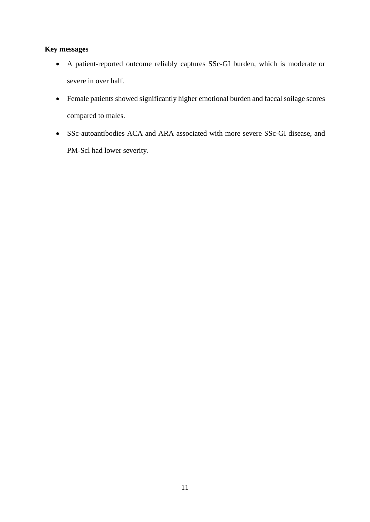# **Key messages**

- A patient-reported outcome reliably captures SSc-GI burden, which is moderate or severe in over half.
- Female patients showed significantly higher emotional burden and faecal soilage scores compared to males.
- SSc-autoantibodies ACA and ARA associated with more severe SSc-GI disease, and PM-Scl had lower severity.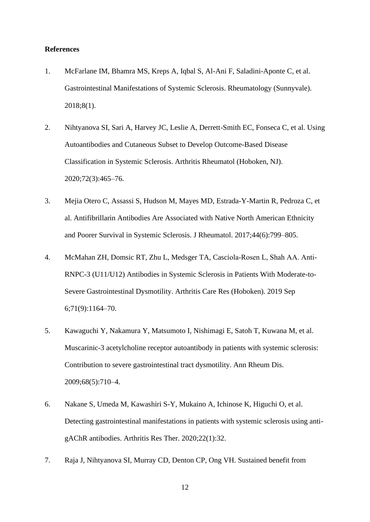## **References**

- 1. McFarlane IM, Bhamra MS, Kreps A, Iqbal S, Al-Ani F, Saladini-Aponte C, et al. Gastrointestinal Manifestations of Systemic Sclerosis. Rheumatology (Sunnyvale). 2018;8(1).
- 2. Nihtyanova SI, Sari A, Harvey JC, Leslie A, Derrett-Smith EC, Fonseca C, et al. Using Autoantibodies and Cutaneous Subset to Develop Outcome-Based Disease Classification in Systemic Sclerosis. Arthritis Rheumatol (Hoboken, NJ). 2020;72(3):465–76.
- 3. Mejia Otero C, Assassi S, Hudson M, Mayes MD, Estrada-Y-Martin R, Pedroza C, et al. Antifibrillarin Antibodies Are Associated with Native North American Ethnicity and Poorer Survival in Systemic Sclerosis. J Rheumatol. 2017;44(6):799–805.
- 4. McMahan ZH, Domsic RT, Zhu L, Medsger TA, Casciola‐Rosen L, Shah AA. Anti-RNPC-3 (U11/U12) Antibodies in Systemic Sclerosis in Patients With Moderate-to-Severe Gastrointestinal Dysmotility. Arthritis Care Res (Hoboken). 2019 Sep 6;71(9):1164–70.
- 5. Kawaguchi Y, Nakamura Y, Matsumoto I, Nishimagi E, Satoh T, Kuwana M, et al. Muscarinic-3 acetylcholine receptor autoantibody in patients with systemic sclerosis: Contribution to severe gastrointestinal tract dysmotility. Ann Rheum Dis. 2009;68(5):710–4.
- 6. Nakane S, Umeda M, Kawashiri S-Y, Mukaino A, Ichinose K, Higuchi O, et al. Detecting gastrointestinal manifestations in patients with systemic sclerosis using antigAChR antibodies. Arthritis Res Ther. 2020;22(1):32.
- 7. Raja J, Nihtyanova SI, Murray CD, Denton CP, Ong VH. Sustained benefit from
	- 12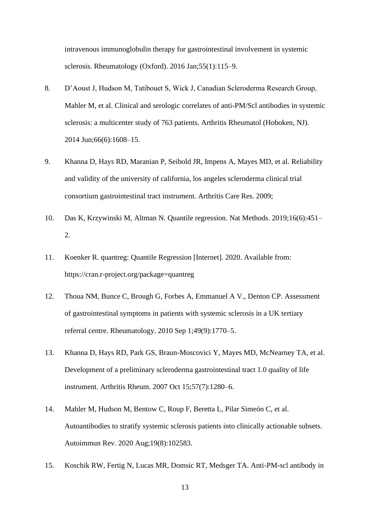intravenous immunoglobulin therapy for gastrointestinal involvement in systemic sclerosis. Rheumatology (Oxford). 2016 Jan;55(1):115–9.

- 8. D'Aoust J, Hudson M, Tatibouet S, Wick J, Canadian Scleroderma Research Group, Mahler M, et al. Clinical and serologic correlates of anti-PM/Scl antibodies in systemic sclerosis: a multicenter study of 763 patients. Arthritis Rheumatol (Hoboken, NJ). 2014 Jun;66(6):1608–15.
- 9. Khanna D, Hays RD, Maranian P, Seibold JR, Impens A, Mayes MD, et al. Reliability and validity of the university of california, los angeles scleroderma clinical trial consortium gastrointestinal tract instrument. Arthritis Care Res. 2009;
- 10. Das K, Krzywinski M, Altman N. Quantile regression. Nat Methods. 2019;16(6):451– 2.
- 11. Koenker R. quantreg: Quantile Regression [Internet]. 2020. Available from: https://cran.r-project.org/package=quantreg
- 12. Thoua NM, Bunce C, Brough G, Forbes A, Emmanuel A V., Denton CP. Assessment of gastrointestinal symptoms in patients with systemic sclerosis in a UK tertiary referral centre. Rheumatology. 2010 Sep 1;49(9):1770–5.
- 13. Khanna D, Hays RD, Park GS, Braun-Moscovici Y, Mayes MD, McNearney TA, et al. Development of a preliminary scleroderma gastrointestinal tract 1.0 quality of life instrument. Arthritis Rheum. 2007 Oct 15;57(7):1280–6.
- 14. Mahler M, Hudson M, Bentow C, Roup F, Beretta L, Pilar Simeón C, et al. Autoantibodies to stratify systemic sclerosis patients into clinically actionable subsets. Autoimmun Rev. 2020 Aug;19(8):102583.
- 15. Koschik RW, Fertig N, Lucas MR, Domsic RT, Medsger TA. Anti-PM-scl antibody in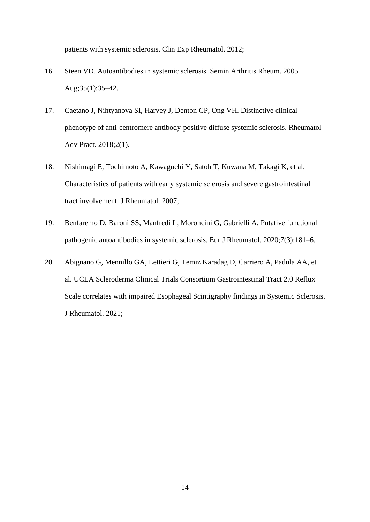patients with systemic sclerosis. Clin Exp Rheumatol. 2012;

- 16. Steen VD. Autoantibodies in systemic sclerosis. Semin Arthritis Rheum. 2005 Aug;35(1):35–42.
- 17. Caetano J, Nihtyanova SI, Harvey J, Denton CP, Ong VH. Distinctive clinical phenotype of anti-centromere antibody-positive diffuse systemic sclerosis. Rheumatol Adv Pract. 2018;2(1).
- 18. Nishimagi E, Tochimoto A, Kawaguchi Y, Satoh T, Kuwana M, Takagi K, et al. Characteristics of patients with early systemic sclerosis and severe gastrointestinal tract involvement. J Rheumatol. 2007;
- 19. Benfaremo D, Baroni SS, Manfredi L, Moroncini G, Gabrielli A. Putative functional pathogenic autoantibodies in systemic sclerosis. Eur J Rheumatol. 2020;7(3):181–6.
- 20. Abignano G, Mennillo GA, Lettieri G, Temiz Karadag D, Carriero A, Padula AA, et al. UCLA Scleroderma Clinical Trials Consortium Gastrointestinal Tract 2.0 Reflux Scale correlates with impaired Esophageal Scintigraphy findings in Systemic Sclerosis. J Rheumatol. 2021;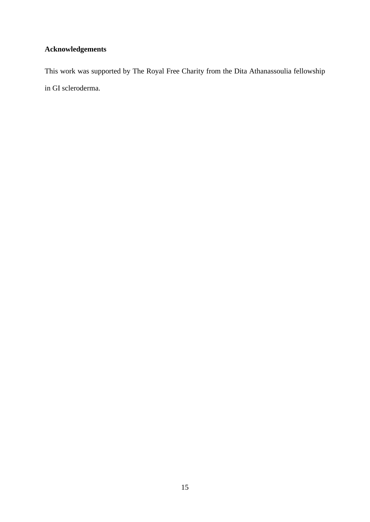# **Acknowledgements**

This work was supported by The Royal Free Charity from the Dita Athanassoulia fellowship in GI scleroderma.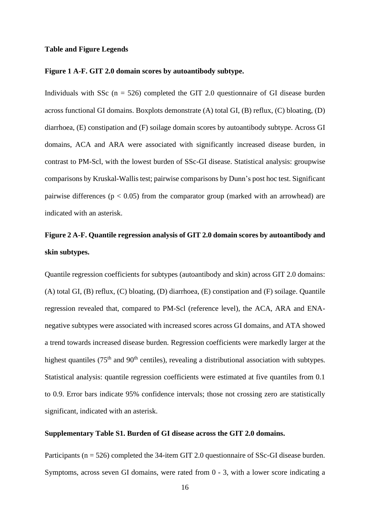#### **Table and Figure Legends**

# **Figure 1 A-F. GIT 2.0 domain scores by autoantibody subtype.**

Individuals with SSc  $(n = 526)$  completed the GIT 2.0 questionnaire of GI disease burden across functional GI domains. Boxplots demonstrate (A) total GI, (B) reflux, (C) bloating, (D) diarrhoea, (E) constipation and (F) soilage domain scores by autoantibody subtype. Across GI domains, ACA and ARA were associated with significantly increased disease burden, in contrast to PM-Scl, with the lowest burden of SSc-GI disease. Statistical analysis: groupwise comparisons by Kruskal-Wallis test; pairwise comparisons by Dunn's post hoc test. Significant pairwise differences ( $p < 0.05$ ) from the comparator group (marked with an arrowhead) are indicated with an asterisk.

# **Figure 2 A-F. Quantile regression analysis of GIT 2.0 domain scores by autoantibody and skin subtypes.**

Quantile regression coefficients for subtypes (autoantibody and skin) across GIT 2.0 domains: (A) total GI, (B) reflux, (C) bloating, (D) diarrhoea, (E) constipation and (F) soilage. Quantile regression revealed that, compared to PM-Scl (reference level), the ACA, ARA and ENAnegative subtypes were associated with increased scores across GI domains, and ATA showed a trend towards increased disease burden. Regression coefficients were markedly larger at the highest quantiles ( $75<sup>th</sup>$  and  $90<sup>th</sup>$  centiles), revealing a distributional association with subtypes. Statistical analysis: quantile regression coefficients were estimated at five quantiles from 0.1 to 0.9. Error bars indicate 95% confidence intervals; those not crossing zero are statistically significant, indicated with an asterisk.

### **Supplementary Table S1. Burden of GI disease across the GIT 2.0 domains.**

Participants (n = 526) completed the 34-item GIT 2.0 questionnaire of SSc-GI disease burden. Symptoms, across seven GI domains, were rated from 0 - 3, with a lower score indicating a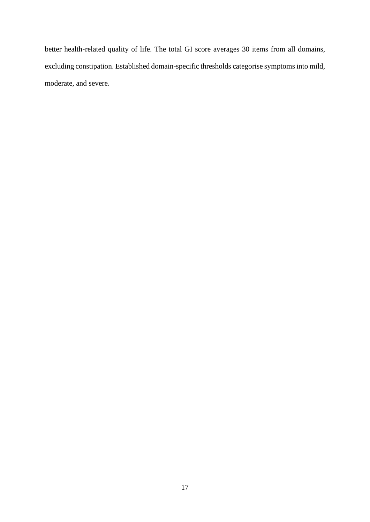better health-related quality of life. The total GI score averages 30 items from all domains, excluding constipation. Established domain-specific thresholds categorise symptoms into mild, moderate, and severe.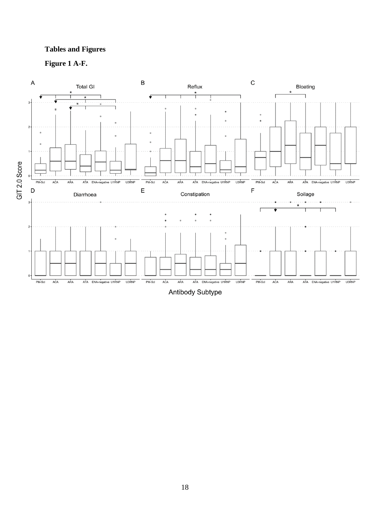# **Tables and Figures**



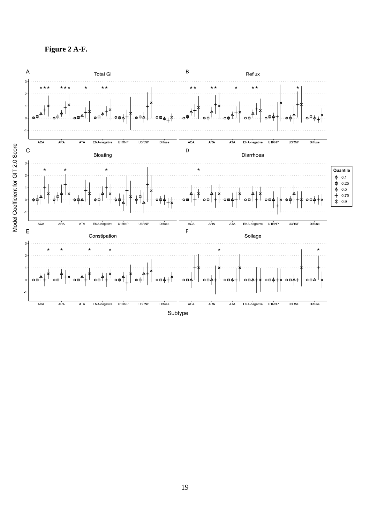**Figure 2 A-F.**